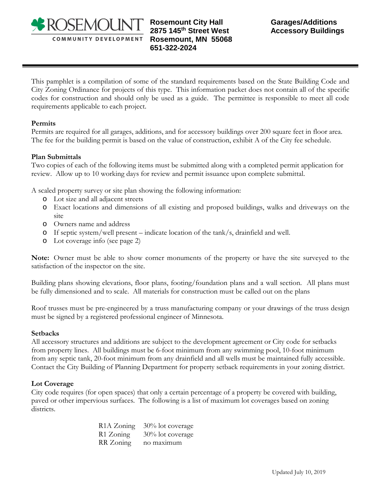

**Rosemount City Hall 2875 145th Street West Rosemount, MN 55068 651-322-2024** 

This pamphlet is a compilation of some of the standard requirements based on the State Building Code and City Zoning Ordinance for projects of this type. This information packet does not contain all of the specific codes for construction and should only be used as a guide. The permittee is responsible to meet all code requirements applicable to each project.

#### **Permits**

Permits are required for all garages, additions, and for accessory buildings over 200 square feet in floor area. The fee for the building permit is based on the value of construction, exhibit A of the City fee schedule.

#### **Plan Submittals**

Two copies of each of the following items must be submitted along with a completed permit application for review. Allow up to 10 working days for review and permit issuance upon complete submittal.

A scaled property survey or site plan showing the following information:

- o Lot size and all adjacent streets
- o Exact locations and dimensions of all existing and proposed buildings, walks and driveways on the site
- o Owners name and address
- o If septic system/well present indicate location of the tank/s, drainfield and well.
- o Lot coverage info (see page 2)

**Note:** Owner must be able to show corner monuments of the property or have the site surveyed to the satisfaction of the inspector on the site.

Building plans showing elevations, floor plans, footing/foundation plans and a wall section. All plans must be fully dimensioned and to scale. All materials for construction must be called out on the plans

Roof trusses must be pre-engineered by a truss manufacturing company or your drawings of the truss design must be signed by a registered professional engineer of Minnesota.

#### **Setbacks**

All accessory structures and additions are subject to the development agreement or City code for setbacks from property lines. All buildings must be 6-foot minimum from any swimming pool, 10-foot minimum from any septic tank, 20-foot minimum from any drainfield and all wells must be maintained fully accessible. Contact the City Building of Planning Department for property setback requirements in your zoning district.

# **Lot Coverage**

City code requires (for open spaces) that only a certain percentage of a property be covered with building, paved or other impervious surfaces. The following is a list of maximum lot coverages based on zoning districts.

> R1A Zoning 30% lot coverage R1 Zoning 30% lot coverage RR Zoning no maximum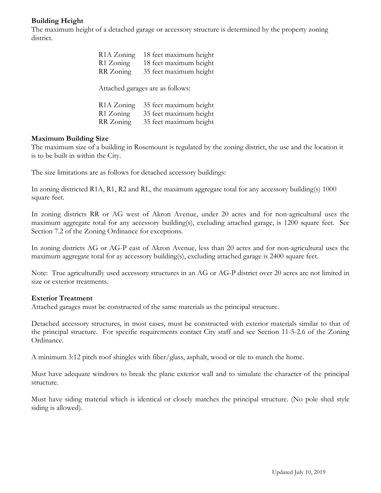# **Building Height**

The maximum height of a detached garage or accessory structure is determined by the property zoning district.

| R <sub>1</sub> A Zoning | 18 feet maximum height |
|-------------------------|------------------------|
| R1 Zoning               | 18 feet maximum height |
| RR Zoning               | 35 feet maximum height |
|                         |                        |

Attached garages are as follows:

| R <sub>1</sub> A Zoning | 35 feet maximum height |
|-------------------------|------------------------|
| R1 Zoning               | 35 feet maximum height |
| RR Zoning               | 35 feet maximum height |

# **Maximum Building Size**

The maximum size of a building in Rosemount is regulated by the zoning district, the use and the location it is to be built in within the City.

The size limitations are as follows for detached accessory buildings:

In zoning districted R1A, R1, R2 and RL, the maximum aggregate total for any accessory building(s) 1000 square feet.

In zoning districts RR or AG west of Akron Avenue, under 20 acres and for non-agricultural uses the maximum aggregate total for any accessory building(s), excluding attached garage, is 1200 square feet. Sec Section 7.2 of the Zoning Ordinance for exceptions.

In zoning districts AG or AG-P east of Akron Avenue, less than 20 acres and for non-agricultural uses the maximum aggregate total for ay accessory building(s), excluding attached garage is 2400 square feet.

Note: True agriculturally used accessory structures in an AG or AG-P district over 20 acres are not limited in size or exterior treatments.

# **Exterior Treatment**

Attached garages must be constructed of the same materials as the principal structure.

Detached accessory structures, in most cases, must be constructed with exterior materials similar to that of the principal structure. For specific requirements contact City staff and see Section 11-5-2.6 of the Zoning Ordinance.

A minimum 3:12 pitch roof shingles with fiber/glass, asphalt, wood or tile to match the home.

Must have adequate windows to break the plane exterior wall and to simulate the character of the principal structure.

Must have siding material which is identical or closely matches the principal structure. (No pole shed style siding is allowed).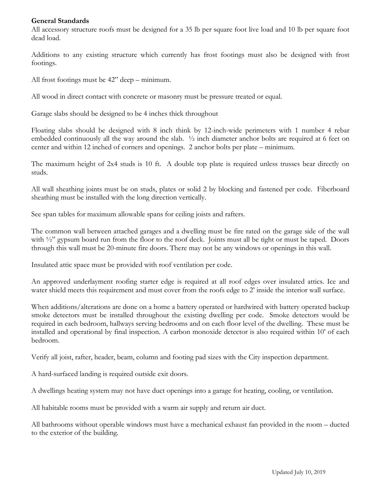# **General Standards**

All accessory structure roofs must be designed for a 35 lb per square foot live load and 10 lb per square foot dead load.

Additions to any existing structure which currently has frost footings must also be designed with frost footings.

All frost footings must be 42" deep – minimum.

All wood in direct contact with concrete or masonry must be pressure treated or equal.

Garage slabs should be designed to be 4 inches thick throughout

Floating slabs should be designed with 8 inch think by 12-inch-wide perimeters with 1 number 4 rebar embedded continuously all the way around the slab. ½ inch diameter anchor bolts are required at 6 feet on center and within 12 inched of corners and openings. 2 anchor bolts per plate – minimum.

The maximum height of 2x4 studs is 10 ft. A double top plate is required unless trusses bear directly on studs.

All wall sheathing joints must be on studs, plates or solid 2 by blocking and fastened per code. Fiberboard sheathing must be installed with the long direction vertically.

See span tables for maximum allowable spans for ceiling joists and rafters.

The common wall between attached garages and a dwelling must be fire rated on the garage side of the wall with <sup>1</sup>/2" gypsum board run from the floor to the roof deck. Joints must all be tight or must be taped. Doors through this wall must be 20-minute fire doors. There may not be any windows or openings in this wall.

Insulated attic space must be provided with roof ventilation per code.

An approved underlayment roofing starter edge is required at all roof edges over insulated attics. Ice and water shield meets this requirement and must cover from the roofs edge to 2' inside the interior wall surface.

When additions/alterations are done on a home a battery operated or hardwired with battery operated backup smoke detectors must be installed throughout the existing dwelling per code. Smoke detectors would be required in each bedroom, hallways serving bedrooms and on each floor level of the dwelling. These must be installed and operational by final inspection. A carbon monoxide detector is also required within 10' of each bedroom.

Verify all joist, rafter, header, beam, column and footing pad sizes with the City inspection department.

A hard-surfaced landing is required outside exit doors.

A dwellings heating system may not have duct openings into a garage for heating, cooling, or ventilation.

All habitable rooms must be provided with a warm air supply and return air duct.

All bathrooms without operable windows must have a mechanical exhaust fan provided in the room – ducted to the exterior of the building.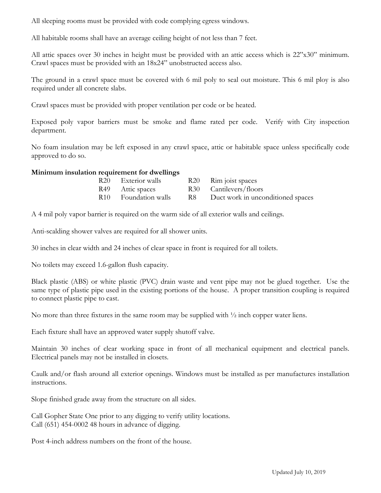All sleeping rooms must be provided with code complying egress windows.

All habitable rooms shall have an average ceiling height of not less than 7 feet.

All attic spaces over 30 inches in height must be provided with an attic access which is 22"x30" minimum. Crawl spaces must be provided with an 18x24" unobstructed access also.

The ground in a crawl space must be covered with 6 mil poly to seal out moisture. This 6 mil ploy is also required under all concrete slabs.

Crawl spaces must be provided with proper ventilation per code or be heated.

Exposed poly vapor barriers must be smoke and flame rated per code. Verify with City inspection department.

No foam insulation may be left exposed in any crawl space, attic or habitable space unless specifically code approved to do so.

# **Minimum insulation requirement for dwellings**

| R20 Exterior walls               |      | R <sub>20</sub> Rim joist spaces  |
|----------------------------------|------|-----------------------------------|
| R49 Attic spaces                 |      | R30 Cantilevers/floors            |
| R <sub>10</sub> Foundation walls | R8 = | Duct work in unconditioned spaces |

A 4 mil poly vapor barrier is required on the warm side of all exterior walls and ceilings.

Anti-scalding shower valves are required for all shower units.

30 inches in clear width and 24 inches of clear space in front is required for all toilets.

No toilets may exceed 1.6-gallon flush capacity.

Black plastic (ABS) or white plastic (PVC) drain waste and vent pipe may not be glued together. Use the same type of plastic pipe used in the existing portions of the house. A proper transition coupling is required to connect plastic pipe to cast.

No more than three fixtures in the same room may be supplied with  $\frac{1}{2}$  inch copper water liens.

Each fixture shall have an approved water supply shutoff valve.

Maintain 30 inches of clear working space in front of all mechanical equipment and electrical panels. Electrical panels may not be installed in closets.

Caulk and/or flash around all exterior openings. Windows must be installed as per manufactures installation instructions.

Slope finished grade away from the structure on all sides.

Call Gopher State One prior to any digging to verify utility locations. Call (651) 454-0002 48 hours in advance of digging.

Post 4-inch address numbers on the front of the house.